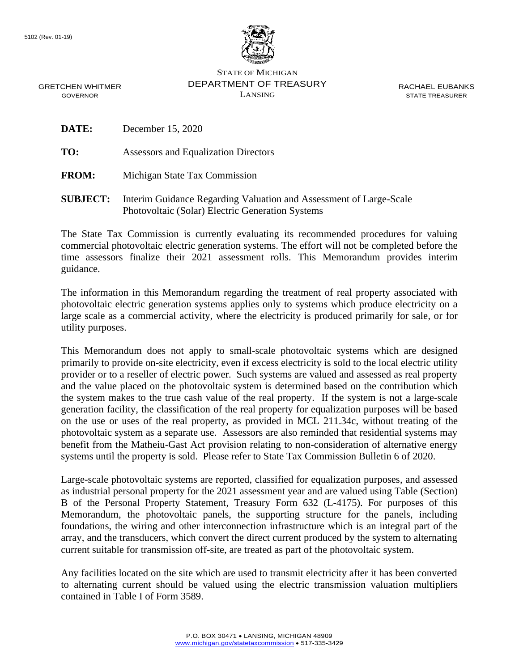

STATE OF MICHIGAN DEPARTMENT OF TREASURY LANSING

RACHAEL EUBANKS STATE TREASURER

GRETCHEN WHITMER GOVERNOR

**DATE:** December 15, 2020

**TO:** Assessors and Equalization Directors

**FROM:** Michigan State Tax Commission

**SUBJECT:** Interim Guidance Regarding Valuation and Assessment of Large-Scale Photovoltaic (Solar) Electric Generation Systems

The State Tax Commission is currently evaluating its recommended procedures for valuing commercial photovoltaic electric generation systems. The effort will not be completed before the time assessors finalize their 2021 assessment rolls. This Memorandum provides interim guidance.

The information in this Memorandum regarding the treatment of real property associated with photovoltaic electric generation systems applies only to systems which produce electricity on a large scale as a commercial activity, where the electricity is produced primarily for sale, or for utility purposes.

This Memorandum does not apply to small-scale photovoltaic systems which are designed primarily to provide on-site electricity, even if excess electricity is sold to the local electric utility provider or to a reseller of electric power. Such systems are valued and assessed as real property and the value placed on the photovoltaic system is determined based on the contribution which the system makes to the true cash value of the real property. If the system is not a large-scale generation facility, the classification of the real property for equalization purposes will be based on the use or uses of the real property, as provided in MCL 211.34c, without treating of the photovoltaic system as a separate use. Assessors are also reminded that residential systems may benefit from the Matheiu-Gast Act provision relating to non-consideration of alternative energy systems until the property is sold. Please refer to State Tax Commission Bulletin 6 of 2020.

Large-scale photovoltaic systems are reported, classified for equalization purposes, and assessed as industrial personal property for the 2021 assessment year and are valued using Table (Section) B of the Personal Property Statement, Treasury Form 632 (L-4175). For purposes of this Memorandum, the photovoltaic panels, the supporting structure for the panels, including foundations, the wiring and other interconnection infrastructure which is an integral part of the array, and the transducers, which convert the direct current produced by the system to alternating current suitable for transmission off-site, are treated as part of the photovoltaic system.

Any facilities located on the site which are used to transmit electricity after it has been converted to alternating current should be valued using the electric transmission valuation multipliers contained in Table I of Form 3589.